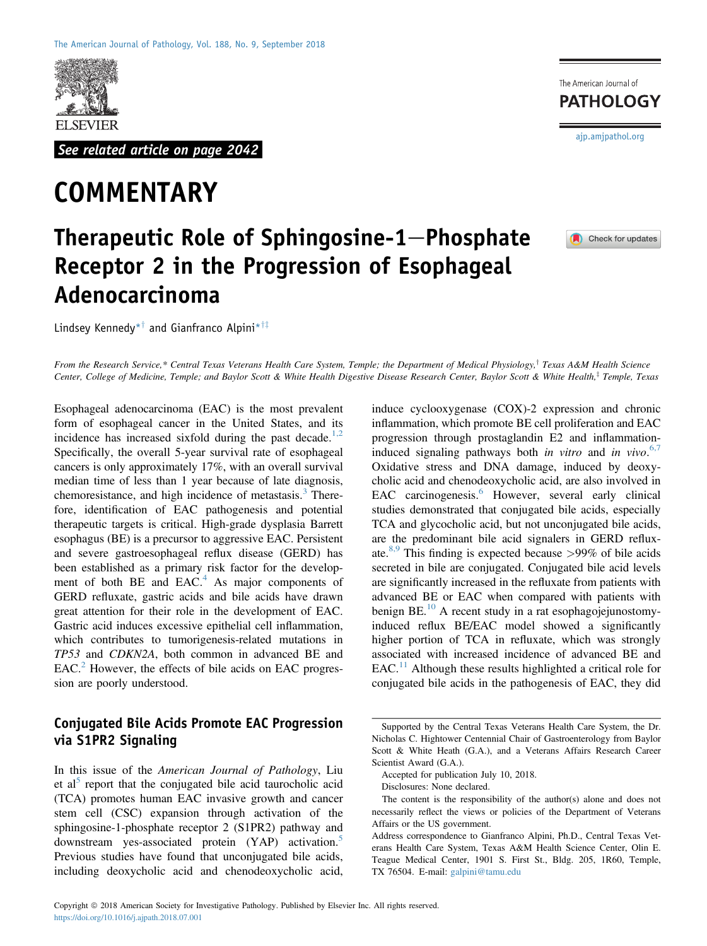

See related article on page 2042

# **COMMENTARY**

## Therapeutic Role of Sphingosine-1 $-$ Phosphate Receptor 2 in the Progression of Esophageal Adenocarcinoma

Lindsey Kennedy<sup>\*†</sup> and Gianfranco Alpini<sup>\*†‡</sup>

The American Journal of **PATHOLOGY** [ajp.amjpathol.org](http://ajp.amjpathol.org)



From the Research Service,\* Central Texas Veterans Health Care System, Temple; the Department of Medical Physiology,<sup>†</sup> Texas A&M Health Science Center, College of Medicine, Temple; and Baylor Scott & White Health Digestive Disease Research Center, Baylor Scott & White Health,<sup>†</sup> Temple, Texas

Esophageal adenocarcinoma (EAC) is the most prevalent form of esophageal cancer in the United States, and its incidence has increased sixfold during the past decade.<sup>[1,2](#page-3-0)</sup> Specifically, the overall 5-year survival rate of esophageal cancers is only approximately 17%, with an overall survival median time of less than 1 year because of late diagnosis, chemoresistance, and high incidence of metastasis.<sup>[3](#page-3-1)</sup> Therefore, identification of EAC pathogenesis and potential therapeutic targets is critical. High-grade dysplasia Barrett esophagus (BE) is a precursor to aggressive EAC. Persistent and severe gastroesophageal reflux disease (GERD) has been established as a primary risk factor for the development of both  $BE$  and  $EAC<sup>4</sup>$  $EAC<sup>4</sup>$  $EAC<sup>4</sup>$ . As major components of GERD refluxate, gastric acids and bile acids have drawn great attention for their role in the development of EAC. Gastric acid induces excessive epithelial cell inflammation, which contributes to tumorigenesis-related mutations in TP53 and CDKN2A, both common in advanced BE and  $EAC<sup>2</sup>$  $EAC<sup>2</sup>$  $EAC<sup>2</sup>$  However, the effects of bile acids on EAC progression are poorly understood.

### Conjugated Bile Acids Promote EAC Progression via S1PR2 Signaling

In this issue of the American Journal of Pathology, Liu et al<sup>3</sup> report that the conjugated bile acid taurocholic acid (TCA) promotes human EAC invasive growth and cancer stem cell (CSC) expansion through activation of the sphingosine-1-phosphate receptor 2 (S1PR2) pathway and downstream yes-associated protein (YAP) activation.<sup>[5](#page-3-4)</sup> Previous studies have found that unconjugated bile acids, including deoxycholic acid and chenodeoxycholic acid,

induce cyclooxygenase (COX)-2 expression and chronic inflammation, which promote BE cell proliferation and EAC progression through prostaglandin E2 and inflammationinduced signaling pathways both in vitro and in vivo.  $6,7$ Oxidative stress and DNA damage, induced by deoxycholic acid and chenodeoxycholic acid, are also involved in EAC carcinogenesis.<sup>[6](#page-3-5)</sup> However, several early clinical studies demonstrated that conjugated bile acids, especially TCA and glycocholic acid, but not unconjugated bile acids, are the predominant bile acid signalers in GERD reflux-ate.<sup>[8,9](#page-3-6)</sup> This finding is expected because  $>99\%$  of bile acids secreted in bile are conjugated. Conjugated bile acid levels are significantly increased in the refluxate from patients with advanced BE or EAC when compared with patients with benign BE. $^{10}$  $^{10}$  $^{10}$  A recent study in a rat esophagojejunostomyinduced reflux BE/EAC model showed a significantly higher portion of TCA in refluxate, which was strongly associated with increased incidence of advanced BE and  $EAC<sup>11</sup>$  $EAC<sup>11</sup>$  $EAC<sup>11</sup>$  Although these results highlighted a critical role for conjugated bile acids in the pathogenesis of EAC, they did

Supported by the Central Texas Veterans Health Care System, the Dr. Nicholas C. Hightower Centennial Chair of Gastroenterology from Baylor Scott & White Heath (G.A.), and a Veterans Affairs Research Career Scientist Award (G.A.).

Accepted for publication July 10, 2018.

Disclosures: None declared.

The content is the responsibility of the author(s) alone and does not necessarily reflect the views or policies of the Department of Veterans Affairs or the US government.

Address correspondence to Gianfranco Alpini, Ph.D., Central Texas Veterans Health Care System, Texas A&M Health Science Center, Olin E. Teague Medical Center, 1901 S. First St., Bldg. 205, 1R60, Temple, TX 76504. E-mail: [galpini@tamu.edu](mailto:galpini@tamu.edu)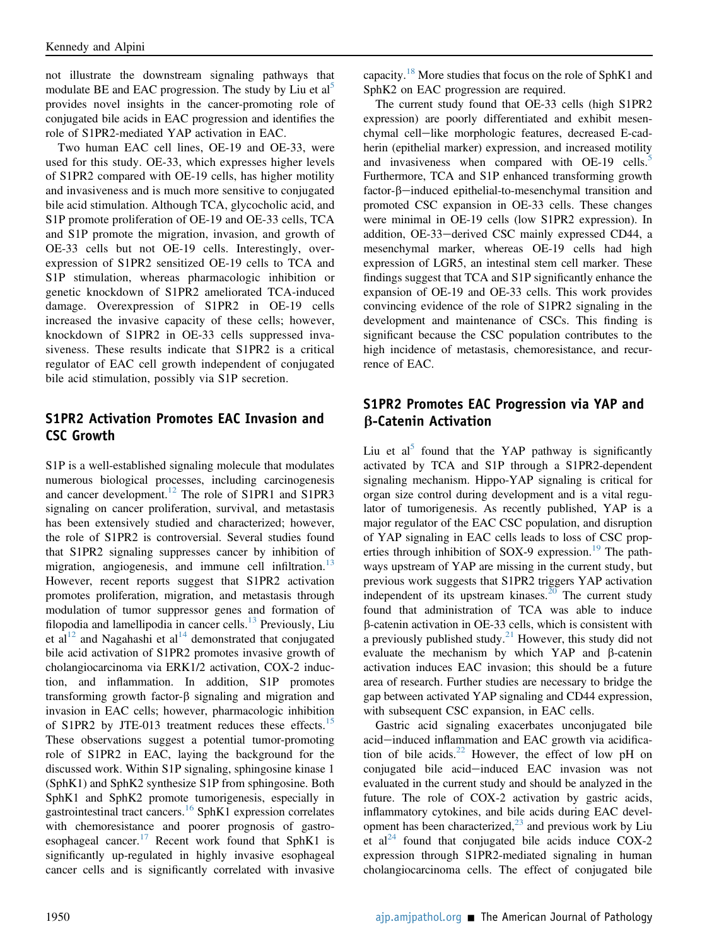not illustrate the downstream signaling pathways that modulate BE and EAC progression. The study by Liu et  $al<sup>5</sup>$  $al<sup>5</sup>$  $al<sup>5</sup>$ provides novel insights in the cancer-promoting role of conjugated bile acids in EAC progression and identifies the role of S1PR2-mediated YAP activation in EAC.

Two human EAC cell lines, OE-19 and OE-33, were used for this study. OE-33, which expresses higher levels of S1PR2 compared with OE-19 cells, has higher motility and invasiveness and is much more sensitive to conjugated bile acid stimulation. Although TCA, glycocholic acid, and S1P promote proliferation of OE-19 and OE-33 cells, TCA and S1P promote the migration, invasion, and growth of OE-33 cells but not OE-19 cells. Interestingly, overexpression of S1PR2 sensitized OE-19 cells to TCA and S1P stimulation, whereas pharmacologic inhibition or genetic knockdown of S1PR2 ameliorated TCA-induced damage. Overexpression of S1PR2 in OE-19 cells increased the invasive capacity of these cells; however, knockdown of S1PR2 in OE-33 cells suppressed invasiveness. These results indicate that S1PR2 is a critical regulator of EAC cell growth independent of conjugated bile acid stimulation, possibly via S1P secretion.

## S1PR2 Activation Promotes EAC Invasion and CSC Growth

S1P is a well-established signaling molecule that modulates numerous biological processes, including carcinogenesis and cancer development.<sup>[12](#page-3-9)</sup> The role of S1PR1 and S1PR3 signaling on cancer proliferation, survival, and metastasis has been extensively studied and characterized; however, the role of S1PR2 is controversial. Several studies found that S1PR2 signaling suppresses cancer by inhibition of migration, angiogenesis, and immune cell infiltration.<sup>[13](#page-3-10)</sup> However, recent reports suggest that S1PR2 activation promotes proliferation, migration, and metastasis through modulation of tumor suppressor genes and formation of filopodia and lamellipodia in cancer cells.<sup>[13](#page-3-10)</sup> Previously, Liu et al<sup>[12](#page-3-9)</sup> and Nagahashi et al<sup>[14](#page-3-11)</sup> demonstrated that conjugated bile acid activation of S1PR2 promotes invasive growth of cholangiocarcinoma via ERK1/2 activation, COX-2 induction, and inflammation. In addition, S1P promotes transforming growth factor- $\beta$  signaling and migration and invasion in EAC cells; however, pharmacologic inhibition of S1PR2 by JTE-013 treatment reduces these effects.<sup>[15](#page-3-12)</sup> These observations suggest a potential tumor-promoting role of S1PR2 in EAC, laying the background for the discussed work. Within S1P signaling, sphingosine kinase 1 (SphK1) and SphK2 synthesize S1P from sphingosine. Both SphK1 and SphK2 promote tumorigenesis, especially in gastrointestinal tract cancers.<sup>[16](#page-3-13)</sup> SphK1 expression correlates with chemoresistance and poorer prognosis of gastro-esophageal cancer.<sup>[17](#page-3-14)</sup> Recent work found that SphK1 is significantly up-regulated in highly invasive esophageal cancer cells and is significantly correlated with invasive

capacity[.18](#page-3-15) More studies that focus on the role of SphK1 and SphK2 on EAC progression are required.

The current study found that OE-33 cells (high S1PR2 expression) are poorly differentiated and exhibit mesenchymal cell-like morphologic features, decreased E-cadherin (epithelial marker) expression, and increased motility and invasiveness when compared with  $OE-19$  cells. $5$ Furthermore, TCA and S1P enhanced transforming growth factor- $\beta$ -induced epithelial-to-mesenchymal transition and promoted CSC expansion in OE-33 cells. These changes were minimal in OE-19 cells (low S1PR2 expression). In addition, OE-33-derived CSC mainly expressed CD44, a mesenchymal marker, whereas OE-19 cells had high expression of LGR5, an intestinal stem cell marker. These findings suggest that TCA and S1P significantly enhance the expansion of OE-19 and OE-33 cells. This work provides convincing evidence of the role of S1PR2 signaling in the development and maintenance of CSCs. This finding is significant because the CSC population contributes to the high incidence of metastasis, chemoresistance, and recurrence of EAC.

## S1PR2 Promotes EAC Progression via YAP and b-Catenin Activation

Liu et  $al<sup>5</sup>$  $al<sup>5</sup>$  $al<sup>5</sup>$  found that the YAP pathway is significantly activated by TCA and S1P through a S1PR2-dependent signaling mechanism. Hippo-YAP signaling is critical for organ size control during development and is a vital regulator of tumorigenesis. As recently published, YAP is a major regulator of the EAC CSC population, and disruption of YAP signaling in EAC cells leads to loss of CSC prop-erties through inhibition of SOX-9 expression.<sup>[19](#page-3-16)</sup> The pathways upstream of YAP are missing in the current study, but previous work suggests that S1PR2 triggers YAP activation independent of its upstream kinases. $20$  The current study found that administration of TCA was able to induce b-catenin activation in OE-33 cells, which is consistent with a previously published study.<sup>[21](#page-3-18)</sup> However, this study did not evaluate the mechanism by which YAP and  $\beta$ -catenin activation induces EAC invasion; this should be a future area of research. Further studies are necessary to bridge the gap between activated YAP signaling and CD44 expression, with subsequent CSC expansion, in EAC cells.

Gastric acid signaling exacerbates unconjugated bile acid-induced inflammation and EAC growth via acidifica-tion of bile acids.<sup>[22](#page-3-19)</sup> However, the effect of low pH on conjugated bile acid-induced EAC invasion was not evaluated in the current study and should be analyzed in the future. The role of COX-2 activation by gastric acids, inflammatory cytokines, and bile acids during EAC development has been characterized, $^{23}$  $^{23}$  $^{23}$  and previous work by Liu et al<sup>[24](#page-3-21)</sup> found that conjugated bile acids induce COX-2 expression through S1PR2-mediated signaling in human cholangiocarcinoma cells. The effect of conjugated bile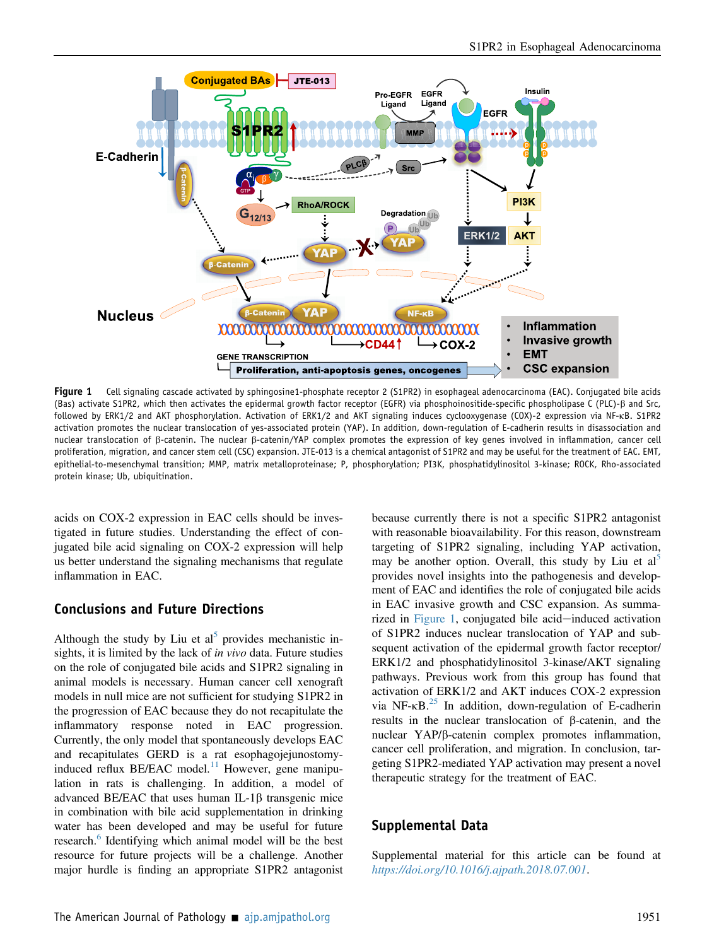<span id="page-2-0"></span>

Figure 1 Cell signaling cascade activated by sphingosine1-phosphate receptor 2 (S1PR2) in esophageal adenocarcinoma (EAC). Conjugated bile acids (Bas) activate S1PR2, which then activates the epidermal growth factor receptor (EGFR) via phosphoinositide-specific phospholipase C (PLC)-b and Src, followed by ERK1/2 and AKT phosphorylation. Activation of ERK1/2 and AKT signaling induces cyclooxygenase (COX)-2 expression via NF-kB. S1PR2 activation promotes the nuclear translocation of yes-associated protein (YAP). In addition, down-regulation of E-cadherin results in disassociation and nuclear translocation of  $\beta$ -catenin. The nuclear  $\beta$ -catenin/YAP complex promotes the expression of key genes involved in inflammation, cancer cell proliferation, migration, and cancer stem cell (CSC) expansion. JTE-013 is a chemical antagonist of S1PR2 and may be useful for the treatment of EAC. EMT, epithelial-to-mesenchymal transition; MMP, matrix metalloproteinase; P, phosphorylation; PI3K, phosphatidylinositol 3-kinase; ROCK, Rho-associated protein kinase; Ub, ubiquitination.

acids on COX-2 expression in EAC cells should be investigated in future studies. Understanding the effect of conjugated bile acid signaling on COX-2 expression will help us better understand the signaling mechanisms that regulate inflammation in EAC.

#### Conclusions and Future Directions

Although the study by Liu et al<sup>[5](#page-3-4)</sup> provides mechanistic insights, it is limited by the lack of *in vivo* data. Future studies on the role of conjugated bile acids and S1PR2 signaling in animal models is necessary. Human cancer cell xenograft models in null mice are not sufficient for studying S1PR2 in the progression of EAC because they do not recapitulate the inflammatory response noted in EAC progression. Currently, the only model that spontaneously develops EAC and recapitulates GERD is a rat esophagojejunostomyinduced reflux BE/EAC model. $^{11}$  $^{11}$  $^{11}$  However, gene manipulation in rats is challenging. In addition, a model of advanced BE/EAC that uses human IL-1 $\beta$  transgenic mice in combination with bile acid supplementation in drinking water has been developed and may be useful for future research.<sup>[6](#page-3-5)</sup> Identifying which animal model will be the best resource for future projects will be a challenge. Another major hurdle is finding an appropriate S1PR2 antagonist because currently there is not a specific S1PR2 antagonist with reasonable bioavailability. For this reason, downstream targeting of S1PR2 signaling, including YAP activation, may be another option. Overall, this study by Liu et al<sup>5</sup> provides novel insights into the pathogenesis and development of EAC and identifies the role of conjugated bile acids in EAC invasive growth and CSC expansion. As summa-rized in [Figure 1](#page-2-0), conjugated bile acid-induced activation of S1PR2 induces nuclear translocation of YAP and subsequent activation of the epidermal growth factor receptor/ ERK1/2 and phosphatidylinositol 3-kinase/AKT signaling pathways. Previous work from this group has found that activation of ERK1/2 and AKT induces COX-2 expression via NF- $\kappa$ B.<sup>[25](#page-3-22)</sup> In addition, down-regulation of E-cadherin results in the nuclear translocation of  $\beta$ -catenin, and the nuclear YAP/b-catenin complex promotes inflammation, cancer cell proliferation, and migration. In conclusion, targeting S1PR2-mediated YAP activation may present a novel therapeutic strategy for the treatment of EAC.

#### Supplemental Data

Supplemental material for this article can be found at <https://doi.org/10.1016/j.ajpath.2018.07.001>.